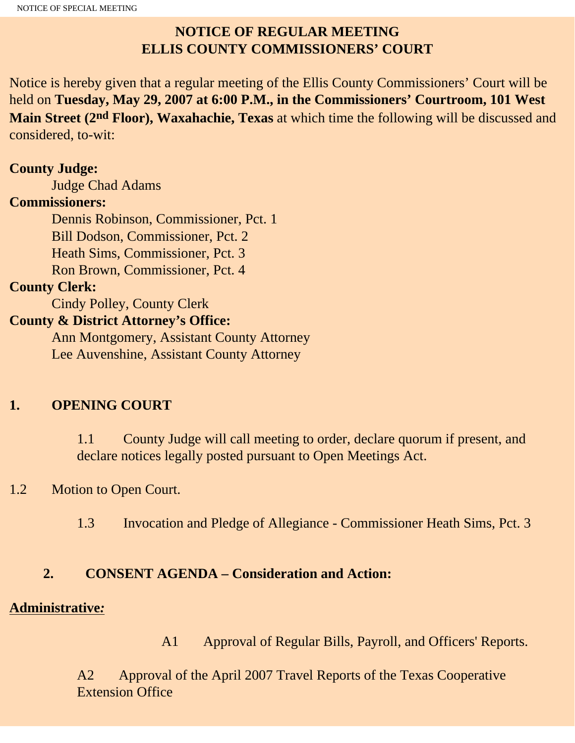# **NOTICE OF REGULAR MEETING ELLIS COUNTY COMMISSIONERS' COURT**

Notice is hereby given that a regular meeting of the Ellis County Commissioners' Court will be held on **Tuesday, May 29, 2007 at 6:00 P.M., in the Commissioners' Courtroom, 101 West Main Street (2nd Floor), Waxahachie, Texas** at which time the following will be discussed and considered, to-wit:

#### **County Judge:**

Judge Chad Adams

### **Commissioners:**

 Dennis Robinson, Commissioner, Pct. 1 Bill Dodson, Commissioner, Pct. 2 Heath Sims, Commissioner, Pct. 3 Ron Brown, Commissioner, Pct. 4

### **County Clerk:**

Cindy Polley, County Clerk

## **County & District Attorney's Office:**

 Ann Montgomery, Assistant County Attorney Lee Auvenshine, Assistant County Attorney

# **1. OPENING COURT**

1.1 County Judge will call meeting to order, declare quorum if present, and declare notices legally posted pursuant to Open Meetings Act.

# 1.2 Motion to Open Court.

1.3 Invocation and Pledge of Allegiance - Commissioner Heath Sims, Pct. 3

# **2. CONSENT AGENDA – Consideration and Action:**

### **Administrative***:*

A1 Approval of Regular Bills, Payroll, and Officers' Reports.

A2Approval of the April 2007 Travel Reports of the Texas Cooperative Extension Office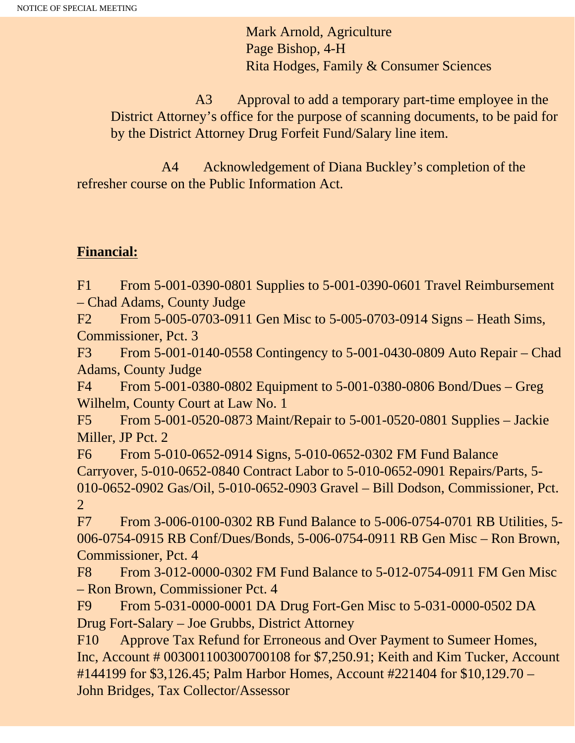Mark Arnold, Agriculture Page Bishop, 4-H Rita Hodges, Family & Consumer Sciences

 A3 Approval to add a temporary part-time employee in the District Attorney's office for the purpose of scanning documents, to be paid for by the District Attorney Drug Forfeit Fund/Salary line item.

 A4 Acknowledgement of Diana Buckley's completion of the refresher course on the Public Information Act.

# **Financial:**

F1 From 5-001-0390-0801 Supplies to 5-001-0390-0601 Travel Reimbursement – Chad Adams, County Judge

F2 From 5-005-0703-0911 Gen Misc to 5-005-0703-0914 Signs – Heath Sims, Commissioner, Pct. 3

F3 From 5-001-0140-0558 Contingency to 5-001-0430-0809 Auto Repair – Chad Adams, County Judge

F4 From 5-001-0380-0802 Equipment to 5-001-0380-0806 Bond/Dues – Greg Wilhelm, County Court at Law No. 1

F5 From 5-001-0520-0873 Maint/Repair to 5-001-0520-0801 Supplies – Jackie Miller, JP Pct. 2

F6 From 5-010-0652-0914 Signs, 5-010-0652-0302 FM Fund Balance Carryover, 5-010-0652-0840 Contract Labor to 5-010-0652-0901 Repairs/Parts, 5- 010-0652-0902 Gas/Oil, 5-010-0652-0903 Gravel – Bill Dodson, Commissioner, Pct. 2

F7 From 3-006-0100-0302 RB Fund Balance to 5-006-0754-0701 RB Utilities, 5- 006-0754-0915 RB Conf/Dues/Bonds, 5-006-0754-0911 RB Gen Misc – Ron Brown, Commissioner, Pct. 4

F8 From 3-012-0000-0302 FM Fund Balance to 5-012-0754-0911 FM Gen Misc – Ron Brown, Commissioner Pct. 4

F9 From 5-031-0000-0001 DA Drug Fort-Gen Misc to 5-031-0000-0502 DA Drug Fort-Salary – Joe Grubbs, District Attorney

F10 Approve Tax Refund for Erroneous and Over Payment to Sumeer Homes, Inc, Account # 003001100300700108 for \$7,250.91; Keith and Kim Tucker, Account #144199 for \$3,126.45; Palm Harbor Homes, Account #221404 for \$10,129.70 – John Bridges, Tax Collector/Assessor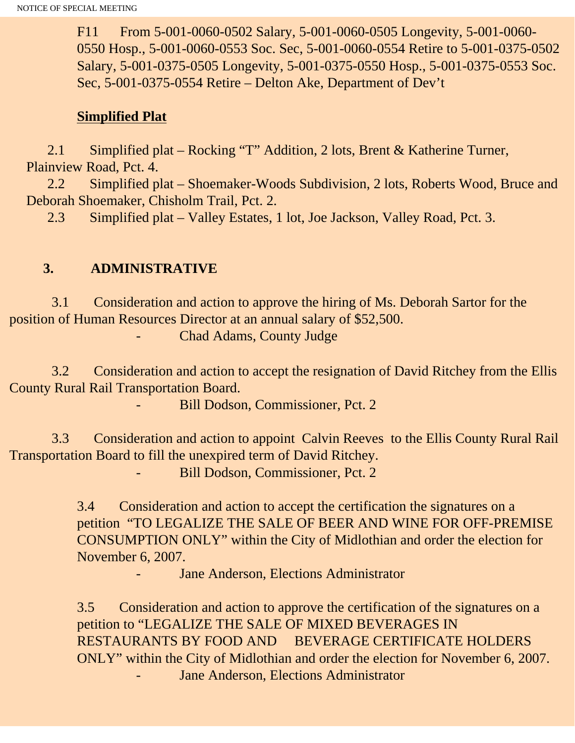F11 From 5-001-0060-0502 Salary, 5-001-0060-0505 Longevity, 5-001-0060- 0550 Hosp., 5-001-0060-0553 Soc. Sec, 5-001-0060-0554 Retire to 5-001-0375-0502 Salary, 5-001-0375-0505 Longevity, 5-001-0375-0550 Hosp., 5-001-0375-0553 Soc. Sec, 5-001-0375-0554 Retire – Delton Ake, Department of Dev't

#### **Simplified Plat**

 2.1 Simplified plat – Rocking "T" Addition, 2 lots, Brent & Katherine Turner, Plainview Road, Pct. 4.

 2.2 Simplified plat – Shoemaker-Woods Subdivision, 2 lots, Roberts Wood, Bruce and Deborah Shoemaker, Chisholm Trail, Pct. 2.

2.3 Simplified plat – Valley Estates, 1 lot, Joe Jackson, Valley Road, Pct. 3.

### **3. ADMINISTRATIVE**

 3.1 Consideration and action to approve the hiring of Ms. Deborah Sartor for the position of Human Resources Director at an annual salary of \$52,500.

Chad Adams, County Judge

 3.2 Consideration and action to accept the resignation of David Ritchey from the Ellis County Rural Rail Transportation Board.

Bill Dodson, Commissioner, Pct. 2

 3.3 Consideration and action to appoint Calvin Reeves to the Ellis County Rural Rail Transportation Board to fill the unexpired term of David Ritchey.

Bill Dodson, Commissioner, Pct. 2

3.4 Consideration and action to accept the certification the signatures on a petition "TO LEGALIZE THE SALE OF BEER AND WINE FOR OFF-PREMISE CONSUMPTION ONLY" within the City of Midlothian and order the election for November 6, 2007.

Jane Anderson, Elections Administrator

3.5 Consideration and action to approve the certification of the signatures on a petition to "LEGALIZE THE SALE OF MIXED BEVERAGES IN RESTAURANTS BY FOOD AND BEVERAGE CERTIFICATE HOLDERS ONLY" within the City of Midlothian and order the election for November 6, 2007. Jane Anderson, Elections Administrator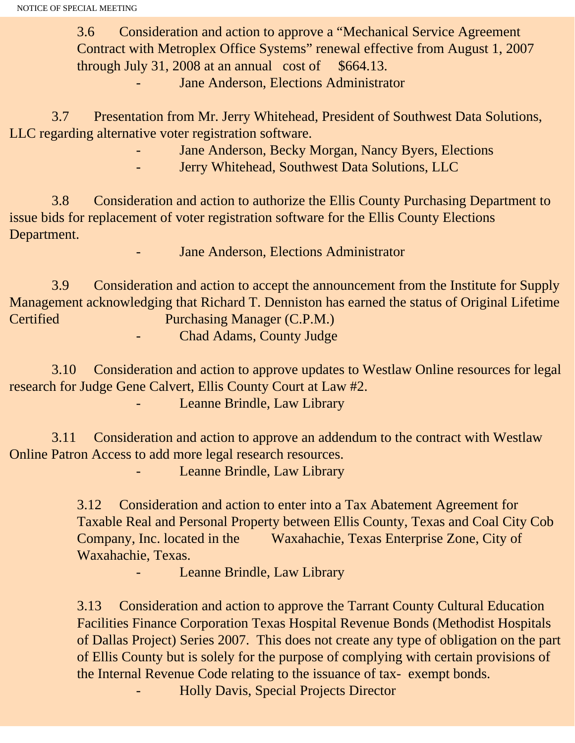3.6 Consideration and action to approve a "Mechanical Service Agreement Contract with Metroplex Office Systems" renewal effective from August 1, 2007 through July 31, 2008 at an annual cost of  $$664.13$ .

Jane Anderson, Elections Administrator

 3.7 Presentation from Mr. Jerry Whitehead, President of Southwest Data Solutions, LLC regarding alternative voter registration software.

Jane Anderson, Becky Morgan, Nancy Byers, Elections

Jerry Whitehead, Southwest Data Solutions, LLC

 3.8 Consideration and action to authorize the Ellis County Purchasing Department to issue bids for replacement of voter registration software for the Ellis County Elections Department.

Jane Anderson, Elections Administrator

 3.9 Consideration and action to accept the announcement from the Institute for Supply Management acknowledging that Richard T. Denniston has earned the status of Original Lifetime Certified Purchasing Manager (C.P.M.)

Chad Adams, County Judge

 3.10 Consideration and action to approve updates to Westlaw Online resources for legal research for Judge Gene Calvert, Ellis County Court at Law #2.

Leanne Brindle, Law Library

 3.11 Consideration and action to approve an addendum to the contract with Westlaw Online Patron Access to add more legal research resources.

Leanne Brindle, Law Library

3.12 Consideration and action to enter into a Tax Abatement Agreement for Taxable Real and Personal Property between Ellis County, Texas and Coal City Cob Company, Inc. located in the Waxahachie, Texas Enterprise Zone, City of Waxahachie, Texas.

Leanne Brindle, Law Library

3.13 Consideration and action to approve the Tarrant County Cultural Education Facilities Finance Corporation Texas Hospital Revenue Bonds (Methodist Hospitals of Dallas Project) Series 2007. This does not create any type of obligation on the part of Ellis County but is solely for the purpose of complying with certain provisions of the Internal Revenue Code relating to the issuance of tax- exempt bonds.

- Holly Davis, Special Projects Director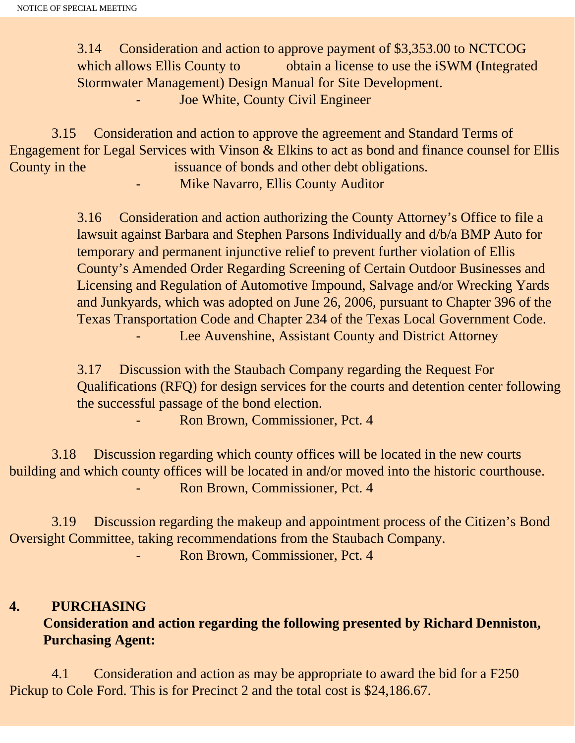3.14 Consideration and action to approve payment of \$3,353.00 to NCTCOG which allows Ellis County to obtain a license to use the iSWM (Integrated Stormwater Management) Design Manual for Site Development. Joe White, County Civil Engineer

 3.15 Consideration and action to approve the agreement and Standard Terms of Engagement for Legal Services with Vinson & Elkins to act as bond and finance counsel for Ellis County in the issuance of bonds and other debt obligations. Mike Navarro, Ellis County Auditor

> 3.16 Consideration and action authorizing the County Attorney's Office to file a lawsuit against Barbara and Stephen Parsons Individually and d/b/a BMP Auto for temporary and permanent injunctive relief to prevent further violation of Ellis County's Amended Order Regarding Screening of Certain Outdoor Businesses and Licensing and Regulation of Automotive Impound, Salvage and/or Wrecking Yards and Junkyards, which was adopted on June 26, 2006, pursuant to Chapter 396 of the Texas Transportation Code and Chapter 234 of the Texas Local Government Code. Lee Auvenshine, Assistant County and District Attorney

3.17 Discussion with the Staubach Company regarding the Request For Qualifications (RFQ) for design services for the courts and detention center following the successful passage of the bond election.

- Ron Brown, Commissioner, Pct. 4

 3.18 Discussion regarding which county offices will be located in the new courts building and which county offices will be located in and/or moved into the historic courthouse. Ron Brown, Commissioner, Pct. 4

 3.19 Discussion regarding the makeup and appointment process of the Citizen's Bond Oversight Committee, taking recommendations from the Staubach Company. Ron Brown, Commissioner, Pct. 4

# **4. PURCHASING Consideration and action regarding the following presented by Richard Denniston, Purchasing Agent:**

4.1 Consideration and action as may be appropriate to award the bid for a F250 Pickup to Cole Ford. This is for Precinct 2 and the total cost is \$24,186.67.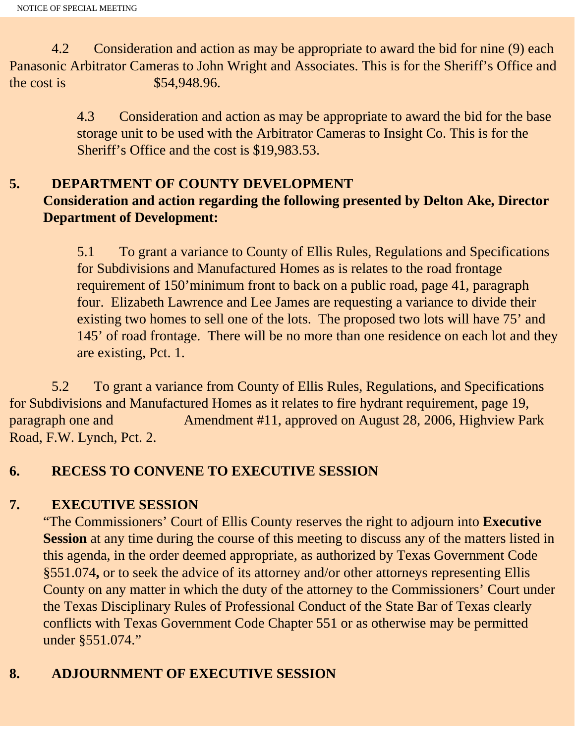4.2 Consideration and action as may be appropriate to award the bid for nine (9) each Panasonic Arbitrator Cameras to John Wright and Associates. This is for the Sheriff's Office and the cost is \$54,948.96.

> 4.3 Consideration and action as may be appropriate to award the bid for the base storage unit to be used with the Arbitrator Cameras to Insight Co. This is for the Sheriff's Office and the cost is \$19,983.53.

## **5. DEPARTMENT OF COUNTY DEVELOPMENT Consideration and action regarding the following presented by Delton Ake, Director Department of Development:**

5.1 To grant a variance to County of Ellis Rules, Regulations and Specifications for Subdivisions and Manufactured Homes as is relates to the road frontage requirement of 150'minimum front to back on a public road, page 41, paragraph four. Elizabeth Lawrence and Lee James are requesting a variance to divide their existing two homes to sell one of the lots. The proposed two lots will have 75' and 145' of road frontage. There will be no more than one residence on each lot and they are existing, Pct. 1.

 5.2 To grant a variance from County of Ellis Rules, Regulations, and Specifications for Subdivisions and Manufactured Homes as it relates to fire hydrant requirement, page 19, paragraph one and Amendment #11, approved on August 28, 2006, Highview Park Road, F.W. Lynch, Pct. 2.

# **6. RECESS TO CONVENE TO EXECUTIVE SESSION**

# **7. EXECUTIVE SESSION**

"The Commissioners' Court of Ellis County reserves the right to adjourn into **Executive Session** at any time during the course of this meeting to discuss any of the matters listed in this agenda, in the order deemed appropriate, as authorized by Texas Government Code §551.074**,** or to seek the advice of its attorney and/or other attorneys representing Ellis County on any matter in which the duty of the attorney to the Commissioners' Court under the Texas Disciplinary Rules of Professional Conduct of the State Bar of Texas clearly conflicts with Texas Government Code Chapter 551 or as otherwise may be permitted under §551.074."

# **8. ADJOURNMENT OF EXECUTIVE SESSION**